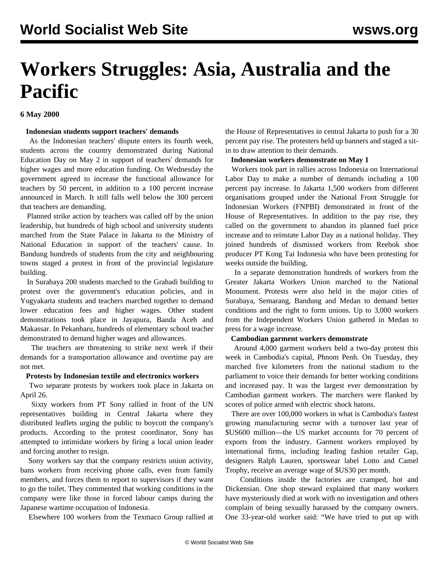# **Workers Struggles: Asia, Australia and the Pacific**

# **6 May 2000**

## **Indonesian students support teachers' demands**

 As the Indonesian teachers' dispute enters its fourth week, students across the country demonstrated during National Education Day on May 2 in support of teachers' demands for higher wages and more education funding. On Wednesday the government agreed to increase the functional allowance for teachers by 50 percent, in addition to a 100 percent increase announced in March. It still falls well below the 300 percent that teachers are demanding.

 Planned strike action by teachers was called off by the union leadership, but hundreds of high school and university students marched from the State Palace in Jakarta to the Ministry of National Education in support of the teachers' cause. In Bandung hundreds of students from the city and neighbouring towns staged a protest in front of the provincial legislature building.

 In Surabaya 200 students marched to the Grahadi building to protest over the government's education policies, and in Yogyakarta students and teachers marched together to demand lower education fees and higher wages. Other student demonstrations took place in Jayapura, Banda Aceh and Makassar. In Pekanbaru, hundreds of elementary school teacher demonstrated to demand higher wages and allowances.

 The teachers are threatening to strike next week if their demands for a transportation allowance and overtime pay are not met.

#### **Protests by Indonesian textile and electronics workers**

 Two separate protests by workers took place in Jakarta on April 26.

 Sixty workers from PT Sony rallied in front of the UN representatives building in Central Jakarta where they distributed leaflets urging the public to boycott the company's products. According to the protest coordinator, Sony has attempted to intimidate workers by firing a local union leader and forcing another to resign.

 Sony workers say that the company restricts union activity, bans workers from receiving phone calls, even from family members, and forces them to report to supervisors if they want to go the toilet. They commented that working conditions in the company were like those in forced labour camps during the Japanese wartime occupation of Indonesia.

Elsewhere 100 workers from the Texmaco Group rallied at

the House of Representatives in central Jakarta to push for a 30 percent pay rise. The protesters held up banners and staged a sitin to draw attention to their demands.

**Indonesian workers demonstrate on May 1**

 Workers took part in rallies across Indonesia on International Labor Day to make a number of demands including a 100 percent pay increase. In Jakarta 1,500 workers from different organisations grouped under the National Front Struggle for Indonesian Workers (FNPBI) demonstrated in front of the House of Representatives. In addition to the pay rise, they called on the government to abandon its planned fuel price increase and to reinstate Labor Day as a national holiday. They joined hundreds of dismissed workers from Reebok shoe producer PT Kong Tai Indonesia who have been protesting for weeks outside the building.

 In a separate demonstration hundreds of workers from the Greater Jakarta Workers Union marched to the National Monument. Protests were also held in the major cities of Surabaya, Semarang, Bandung and Medan to demand better conditions and the right to form unions. Up to 3,000 workers from the Independent Workers Union gathered in Medan to press for a wage increase.

# **Cambodian garment workers demonstrate**

 Around 4,000 garment workers held a two-day protest this week in Cambodia's capital, Phnom Penh. On Tuesday, they marched five kilometers from the national stadium to the parliament to voice their demands for better working conditions and increased pay. It was the largest ever demonstration by Cambodian garment workers. The marchers were flanked by scores of police armed with electric shock batons.

 There are over 100,000 workers in what is Cambodia's fastest growing manufacturing sector with a turnover last year of \$US600 million—the US market accounts for 70 percent of exports from the industry. Garment workers employed by international firms, including leading fashion retailer Gap, designers Ralph Lauren, sportswear label Lotto and Camel Trophy, receive an average wage of \$US30 per month.

 Conditions inside the factories are cramped, hot and Dickensian. One shop steward explained that many workers have mysteriously died at work with no investigation and others complain of being sexually harassed by the company owners. One 33-year-old worker said: "We have tried to put up with